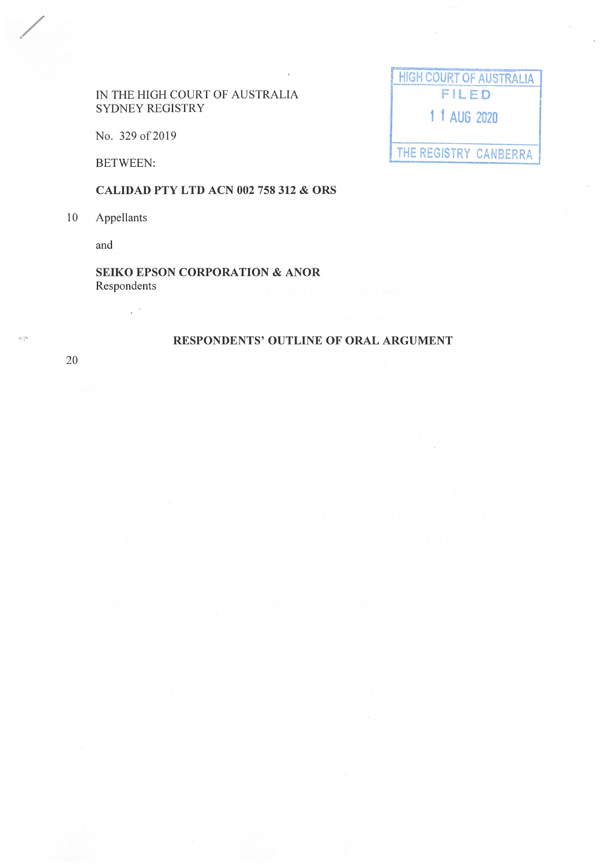## IN THE HIGH COURT OF AUSTRALIA SYDNEY REGISTRY

No. 329 of 2019

 $\mathbb{R}^{\mathbb{Z}^2}$ 

**BETWEEN:** 

**CALIDAD PTY LTD ACN 002 758 312 & ORS** 

10 Appellants

and

**SEIKO EPSON CORPORATION & ANOR** Respondents

# **RESPONDENTS' OUTLINE OF ORAL ARGUMENT**

**HIGH COURT OF AUSTRALIA** 

FILED

1 1 AUG 2020

THE REGISTRY CANBERRA

20

 $\bar{w}$  y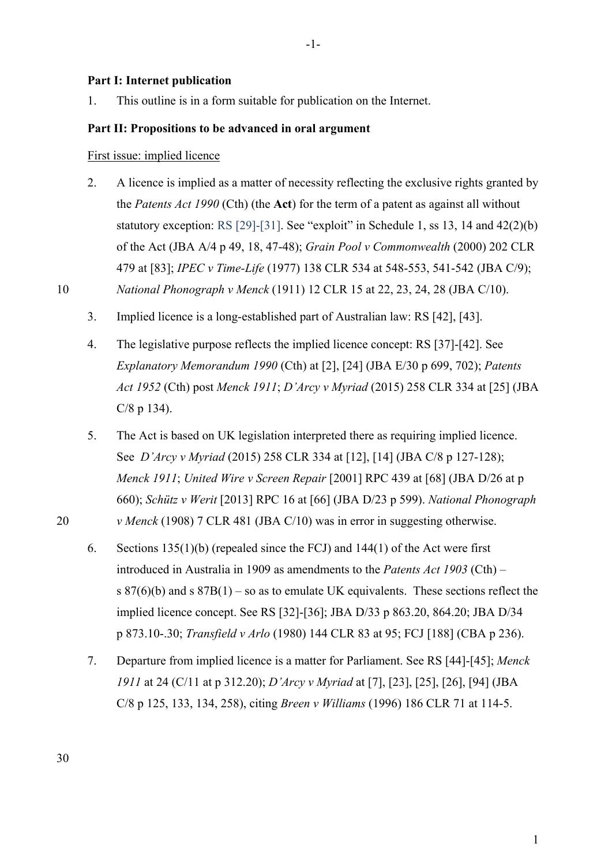### **Part I: Internet publication**

1. This outline is in a form suitable for publication on the Internet.

### **Part II: Propositions to be advanced in oral argument**

First issue: implied licence

2. A licence is implied as a matter of necessity reflecting the exclusive rights granted by the *Patents Act 1990* (Cth) (the **Act**) for the term of a patent as against all without statutory exception: RS [29]-[31]. See "exploit" in Schedule 1, ss 13, 14 and 42(2)(b) of the Act (JBA A/4 p 49, 18, 47-48); *Grain Pool v Commonwealth* (2000) 202 CLR 479 at [83]; *IPEC v Time-Life* (1977) 138 CLR 534 at 548-553, 541-542 (JBA C/9);

10 *National Phonograph v Menck* (1911) 12 CLR 15 at 22, 23, 24, 28 (JBA C/10).

- 3. Implied licence is a long-established part of Australian law: RS [42], [43].
- 4. The legislative purpose reflects the implied licence concept: RS [37]-[42]. See *Explanatory Memorandum 1990* (Cth) at [2], [24] (JBA E/30 p 699, 702); *Patents Act 1952* (Cth) post *Menck 1911*; *D'Arcy v Myriad* (2015) 258 CLR 334 at [25] (JBA C/8 p 134).
- 5. The Act is based on UK legislation interpreted there as requiring implied licence. See *D'Arcy v Myriad* (2015) 258 CLR 334 at [12], [14] (JBA C/8 p 127-128); *Menck 1911*; *United Wire v Screen Repair* [2001] RPC 439 at [68] (JBA D/26 at p 660); *Schütz v Werit* [2013] RPC 16 at [66] (JBA D/23 p 599). *National Phonograph*  20 *v Menck* (1908) 7 CLR 481 (JBA C/10) was in error in suggesting otherwise.
	- 6. Sections 135(1)(b) (repealed since the FCJ) and 144(1) of the Act were first introduced in Australia in 1909 as amendments to the *Patents Act 1903* (Cth) – s  $87(6)(b)$  and s  $87B(1)$  – so as to emulate UK equivalents. These sections reflect the implied licence concept. See RS [32]-[36]; JBA D/33 p 863.20, 864.20; JBA D/34 p 873.10-.30; *Transfield v Arlo* (1980) 144 CLR 83 at 95; FCJ [188] (CBA p 236).
	- 7. Departure from implied licence is a matter for Parliament. See RS [44]-[45]; *Menck 1911* at 24 (C/11 at p 312.20); *D'Arcy v Myriad* at [7], [23], [25], [26], [94] (JBA C/8 p 125, 133, 134, 258), citing *Breen v Williams* (1996) 186 CLR 71 at 114-5.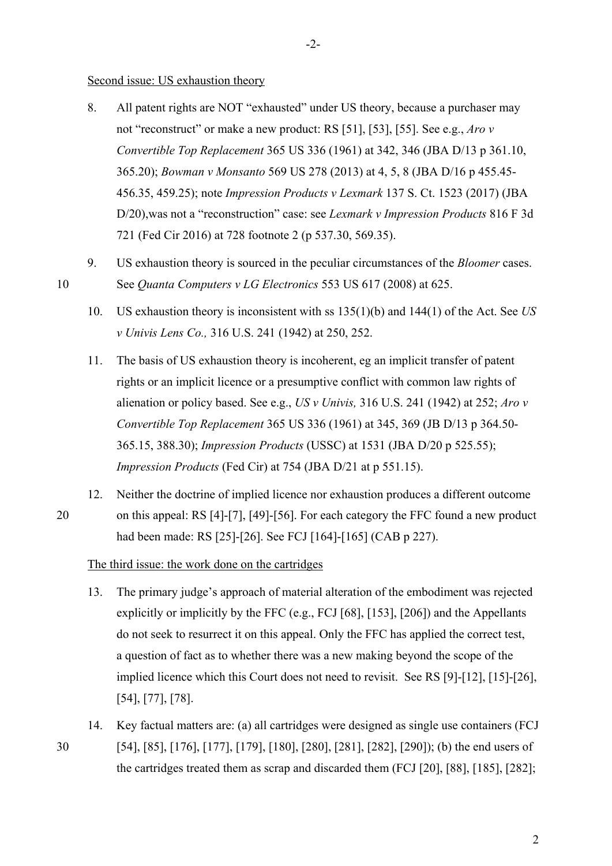#### Second issue: US exhaustion theory

- 8. All patent rights are NOT "exhausted" under US theory, because a purchaser may not "reconstruct" or make a new product: RS [51], [53], [55]. See e.g., *Aro v Convertible Top Replacement* 365 US 336 (1961) at 342, 346 (JBA D/13 p 361.10, 365.20); *Bowman v Monsanto* 569 US 278 (2013) at 4, 5, 8 (JBA D/16 p 455.45- 456.35, 459.25); note *Impression Products v Lexmark* 137 S. Ct. 1523 (2017) (JBA D/20),was not a "reconstruction" case: see *Lexmark v Impression Products* 816 F 3d 721 (Fed Cir 2016) at 728 footnote 2 (p 537.30, 569.35).
- 9. US exhaustion theory is sourced in the peculiar circumstances of the *Bloomer* cases. 10 See *Quanta Computers v LG Electronics* 553 US 617 (2008) at 625.
	- 10. US exhaustion theory is inconsistent with ss 135(1)(b) and 144(1) of the Act. See *US v Univis Lens Co.,* 316 U.S. 241 (1942) at 250, 252.
	- 11. The basis of US exhaustion theory is incoherent, eg an implicit transfer of patent rights or an implicit licence or a presumptive conflict with common law rights of alienation or policy based. See e.g., *US v Univis,* 316 U.S. 241 (1942) at 252; *Aro v Convertible Top Replacement* 365 US 336 (1961) at 345, 369 (JB D/13 p 364.50- 365.15, 388.30); *Impression Products* (USSC) at 1531 (JBA D/20 p 525.55); *Impression Products* (Fed Cir) at 754 (JBA D/21 at p 551.15).
- 12. Neither the doctrine of implied licence nor exhaustion produces a different outcome 20 on this appeal: RS [4]-[7], [49]-[56]. For each category the FFC found a new product had been made: RS [25]-[26]. See FCJ [164]-[165] (CAB p 227).
	- The third issue: the work done on the cartridges
	- 13. The primary judge's approach of material alteration of the embodiment was rejected explicitly or implicitly by the FFC (e.g., FCJ [68], [153], [206]) and the Appellants do not seek to resurrect it on this appeal. Only the FFC has applied the correct test, a question of fact as to whether there was a new making beyond the scope of the implied licence which this Court does not need to revisit. See RS [9]-[12], [15]-[26], [54], [77], [78].
- 14. Key factual matters are: (a) all cartridges were designed as single use containers (FCJ 30 [54], [85], [176], [177], [179], [180], [280], [281], [282], [290]); (b) the end users of the cartridges treated them as scrap and discarded them (FCJ [20], [88], [185], [282];

2